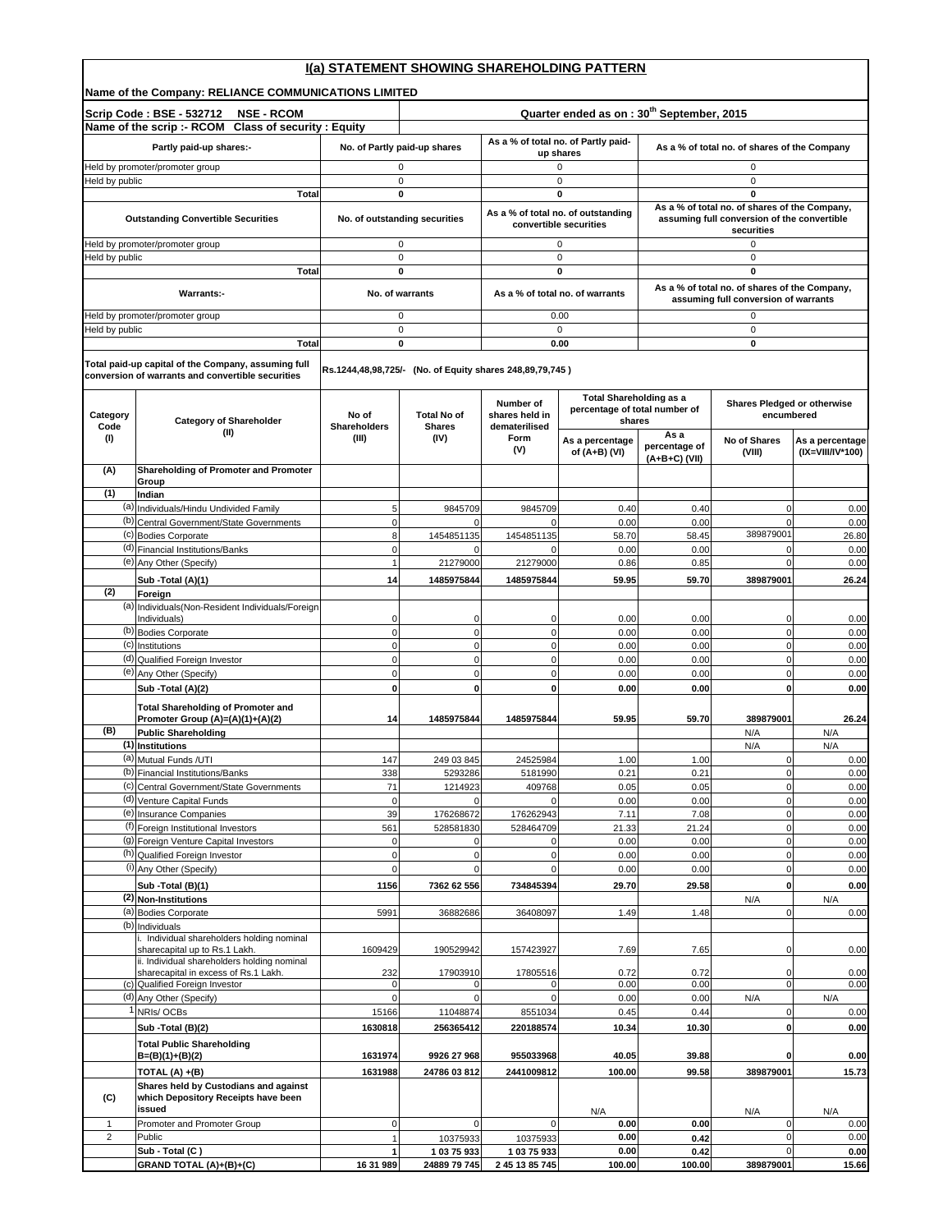| Name of the Company: RELIANCE COMMUNICATIONS LIMITED<br>Quarter ended as on: 30 <sup>th</sup> September, 2015<br>Scrip Code: BSE - 532712<br><b>NSE - RCOM</b><br>Name of the scrip :- RCOM Class of security : Equity<br>As a % of total no. of Partly paid-<br>Partly paid-up shares:-<br>No. of Partly paid-up shares<br>As a % of total no. of shares of the Company<br>up shares<br>Held by promoter/promoter group<br>0<br>0<br>0<br>Held by public<br>$\mathbf 0$<br>0<br>$\mathbf 0$<br>Total<br>0<br>0<br>0<br>As a % of total no. of shares of the Company,<br>As a % of total no. of outstanding<br>No. of outstanding securities<br>assuming full conversion of the convertible<br><b>Outstanding Convertible Securities</b><br>convertible securities<br>securities<br>Held by promoter/promoter group<br>$\mathbf 0$<br>$\mathbf 0$<br>$\Omega$<br>Held by public<br>$\pmb{0}$<br>0<br>$\mathbf 0$<br>Total<br>0<br>0<br>0<br>As a % of total no. of shares of the Company,<br><b>Warrants:-</b><br>No. of warrants<br>As a % of total no. of warrants<br>assuming full conversion of warrants<br>Held by promoter/promoter group<br>$\mathbf 0$<br>0.00<br>0<br>Held by public<br>$\mathbf 0$<br>$\Omega$<br>$\mathbf 0$<br><b>Total</b><br>0<br>0.00<br>0<br>Total paid-up capital of the Company, assuming full<br>Rs.1244,48,98,725/- (No. of Equity shares 248,89,79,745)<br>conversion of warrants and convertible securities<br><b>Total Shareholding as a</b><br>Shares Pledged or otherwise<br>Number of<br>percentage of total number of<br><b>Total No of</b><br>shares held in<br>encumbered<br>Category<br>No of<br><b>Category of Shareholder</b><br>shares<br>Code<br><b>Shareholders</b><br><b>Shares</b><br>dematerilised<br>(II)<br>As a<br>(III)<br>(IV)<br>Form<br>(1)<br>No of Shares<br>As a percentage<br>percentage of<br>(V)<br>of $(A+B)$ (VI)<br>(VIII)<br>$(A+B+C)$ (VII)<br>Shareholding of Promoter and Promoter<br>(A)<br>Group<br>(1)<br>Indian<br>(a) Individuals/Hindu Undivided Family<br>5<br>9845709<br>9845709<br>$\mathbf 0$<br>0.40<br>0.40<br>(b) Central Government/State Governments<br>$\mathbf 0$<br>0.00<br>0.00<br>$\mathbf 0$<br>$\Omega$<br>$\Omega$<br>389879001<br>(c) Bodies Corporate<br>8<br>1454851135<br>1454851135<br>58.70<br>58.45<br>(d) Financial Institutions/Banks<br>$\mathbf 0$<br>0.00<br>0.00<br>$\mathbf 0$<br>O<br>(e) Any Other (Specify)<br>$\overline{1}$<br>21279000<br>21279000<br>0.86<br>0.85<br>$\mathbf 0$<br>Sub - Total (A)(1)<br>14<br>1485975844<br>1485975844<br>59.95<br>59.70<br>389879001<br>(2)<br>Foreign<br>(a) Individuals (Non-Resident Individuals/Foreign<br>Individuals)<br>0.00<br>0.00<br>0<br>0<br>$\mathbf 0$<br>$\Omega$<br>(b) Bodies Corporate<br>$\mathbf 0$<br>$\mathbf 0$<br>$\mathbf 0$<br>$\mathbf 0$<br>0.00<br>0.00<br>(c) Institutions<br>$\mathbf 0$<br>$\mathbf 0$<br>$\mathbf 0$<br>0.00<br>$\mathbf 0$<br>0.00<br>(d) Qualified Foreign Investor<br>$\mathbf 0$<br>$\mathbf 0$<br>$\mathbf 0$<br>$\mathbf 0$<br>0.00<br>0.00<br>(e) Any Other (Specify)<br>$\mathbf 0$<br>$\mathbf 0$<br>$\mathbf 0$<br>0<br>0.00<br>0.00<br>Sub -Total (A)(2)<br>$\mathbf 0$<br>$\mathbf 0$<br>$\mathbf{0}$<br>0.00<br>$\mathbf 0$<br>0.00<br><b>Total Shareholding of Promoter and</b><br>Promoter Group (A)=(A)(1)+(A)(2)<br>1485975844<br>1485975844<br>14<br>59.95<br>59.70<br>389879001<br>(B)<br><b>Public Shareholding</b><br>N/A<br>(1) Institutions<br>N/A<br>(a) Mutual Funds /UTI<br>147<br>249 03 845<br>24525984<br>1.00<br>1.00<br>0<br>(b) Financial Institutions/Banks<br>$\mathbf 0$<br>5293286<br>5181990<br>0.21<br>0.21<br>338<br>(c) Central Government/State Governments<br>0.05<br>71<br>1214923<br>409768<br>0.05<br>$\mathbf 0$<br>(d) Venture Capital Funds<br>$\mathbf 0$<br>$\mathbf 0$<br>0.00<br>0.00<br>0<br>(e) Insurance Companies<br>39<br>7.11<br>176268672<br>176262943<br>7.08<br>$\mathbf 0$<br>(f) Foreign Institutional Investors<br>561<br>528581830<br>528464709<br>21.33<br>21.24<br>$\mathbf 0$<br>(9) Foreign Venture Capital Investors<br>0.00<br>0.00<br>$\mathbf 0$<br>0<br>(h) Qualified Foreign Investor<br>$\mathbf 0$<br>$\mathbf 0$<br>$\Omega$<br>0.00<br>0.00<br>(i) Any Other (Specify)<br>$\mathbf 0$<br>$\mathbf 0$<br>0.00<br>0.00<br>$\mathbf 0$<br>Sub - Total (B)(1)<br>1156<br>7362 62 556<br>734845394<br>29.70<br>29.58<br>$\mathbf 0$<br>(2) Non-Institutions<br>N/A<br>(a) Bodies Corporate<br>5991<br>36882686<br>36408097<br>1.49<br>1.48<br>$\pmb{0}$<br>(b) Individuals<br>i. Individual shareholders holding nominal<br>sharecapital up to Rs.1 Lakh.<br>1609429<br>190529942<br>157423927<br>7.69<br>7.65<br>0<br>ii. Individual shareholders holding nominal<br>sharecapital in excess of Rs.1 Lakh.<br>232<br>17805516<br>0.72<br>0.72<br>17903910<br>0<br>(c) Qualified Foreign Investor<br>0.00<br>0.00<br>$\mathbf 0$<br>$\mathbf 0$<br>0<br>$\Omega$ | I(a) STATEMENT SHOWING SHAREHOLDING PATTERN |  |  |  |  |  |  |  |  |
|-----------------------------------------------------------------------------------------------------------------------------------------------------------------------------------------------------------------------------------------------------------------------------------------------------------------------------------------------------------------------------------------------------------------------------------------------------------------------------------------------------------------------------------------------------------------------------------------------------------------------------------------------------------------------------------------------------------------------------------------------------------------------------------------------------------------------------------------------------------------------------------------------------------------------------------------------------------------------------------------------------------------------------------------------------------------------------------------------------------------------------------------------------------------------------------------------------------------------------------------------------------------------------------------------------------------------------------------------------------------------------------------------------------------------------------------------------------------------------------------------------------------------------------------------------------------------------------------------------------------------------------------------------------------------------------------------------------------------------------------------------------------------------------------------------------------------------------------------------------------------------------------------------------------------------------------------------------------------------------------------------------------------------------------------------------------------------------------------------------------------------------------------------------------------------------------------------------------------------------------------------------------------------------------------------------------------------------------------------------------------------------------------------------------------------------------------------------------------------------------------------------------------------------------------------------------------------------------------------------------------------------------------------------------------------------------------------------------------------------------------------------------------------------------------------------------------------------------------------------------------------------------------------------------------------------------------------------------------------------------------------------------------------------------------------------------------------------------------------------------------------------------------------------------------------------------------------------------------------------------------------------------------------------------------------------------------------------------------------------------------------------------------------------------------------------------------------------------------------------------------------------------------------------------------------------------------------------------------------------------------------------------------------------------------------------------------------------------------------------------------------------------------------------------------------------------------------------------------------------------------------------------------------------------------------------------------------------------------------------------------------------------------------------------------------------------------------------------------------------------------------------------------------------------------------------------------------------------------------------------------------------------------------------------------------------------------------------------------------------------------------------------------------------------------------------------------------------------------------------------------------------------------------------------------------------------------------------------------------------------------------------------------------------------------------------------------------------------------------------------------------------------------------------------------------------------------------------------------------------------------------------------------------------------------------------------------------|---------------------------------------------|--|--|--|--|--|--|--|--|
|                                                                                                                                                                                                                                                                                                                                                                                                                                                                                                                                                                                                                                                                                                                                                                                                                                                                                                                                                                                                                                                                                                                                                                                                                                                                                                                                                                                                                                                                                                                                                                                                                                                                                                                                                                                                                                                                                                                                                                                                                                                                                                                                                                                                                                                                                                                                                                                                                                                                                                                                                                                                                                                                                                                                                                                                                                                                                                                                                                                                                                                                                                                                                                                                                                                                                                                                                                                                                                                                                                                                                                                                                                                                                                                                                                                                                                                                                                                                                                                                                                                                                                                                                                                                                                                                                                                                                                                                                                                                                                                                                                                                                                                                                                                                                                                                                                                                                                                                                     |                                             |  |  |  |  |  |  |  |  |
|                                                                                                                                                                                                                                                                                                                                                                                                                                                                                                                                                                                                                                                                                                                                                                                                                                                                                                                                                                                                                                                                                                                                                                                                                                                                                                                                                                                                                                                                                                                                                                                                                                                                                                                                                                                                                                                                                                                                                                                                                                                                                                                                                                                                                                                                                                                                                                                                                                                                                                                                                                                                                                                                                                                                                                                                                                                                                                                                                                                                                                                                                                                                                                                                                                                                                                                                                                                                                                                                                                                                                                                                                                                                                                                                                                                                                                                                                                                                                                                                                                                                                                                                                                                                                                                                                                                                                                                                                                                                                                                                                                                                                                                                                                                                                                                                                                                                                                                                                     |                                             |  |  |  |  |  |  |  |  |
|                                                                                                                                                                                                                                                                                                                                                                                                                                                                                                                                                                                                                                                                                                                                                                                                                                                                                                                                                                                                                                                                                                                                                                                                                                                                                                                                                                                                                                                                                                                                                                                                                                                                                                                                                                                                                                                                                                                                                                                                                                                                                                                                                                                                                                                                                                                                                                                                                                                                                                                                                                                                                                                                                                                                                                                                                                                                                                                                                                                                                                                                                                                                                                                                                                                                                                                                                                                                                                                                                                                                                                                                                                                                                                                                                                                                                                                                                                                                                                                                                                                                                                                                                                                                                                                                                                                                                                                                                                                                                                                                                                                                                                                                                                                                                                                                                                                                                                                                                     |                                             |  |  |  |  |  |  |  |  |
|                                                                                                                                                                                                                                                                                                                                                                                                                                                                                                                                                                                                                                                                                                                                                                                                                                                                                                                                                                                                                                                                                                                                                                                                                                                                                                                                                                                                                                                                                                                                                                                                                                                                                                                                                                                                                                                                                                                                                                                                                                                                                                                                                                                                                                                                                                                                                                                                                                                                                                                                                                                                                                                                                                                                                                                                                                                                                                                                                                                                                                                                                                                                                                                                                                                                                                                                                                                                                                                                                                                                                                                                                                                                                                                                                                                                                                                                                                                                                                                                                                                                                                                                                                                                                                                                                                                                                                                                                                                                                                                                                                                                                                                                                                                                                                                                                                                                                                                                                     |                                             |  |  |  |  |  |  |  |  |
|                                                                                                                                                                                                                                                                                                                                                                                                                                                                                                                                                                                                                                                                                                                                                                                                                                                                                                                                                                                                                                                                                                                                                                                                                                                                                                                                                                                                                                                                                                                                                                                                                                                                                                                                                                                                                                                                                                                                                                                                                                                                                                                                                                                                                                                                                                                                                                                                                                                                                                                                                                                                                                                                                                                                                                                                                                                                                                                                                                                                                                                                                                                                                                                                                                                                                                                                                                                                                                                                                                                                                                                                                                                                                                                                                                                                                                                                                                                                                                                                                                                                                                                                                                                                                                                                                                                                                                                                                                                                                                                                                                                                                                                                                                                                                                                                                                                                                                                                                     |                                             |  |  |  |  |  |  |  |  |
|                                                                                                                                                                                                                                                                                                                                                                                                                                                                                                                                                                                                                                                                                                                                                                                                                                                                                                                                                                                                                                                                                                                                                                                                                                                                                                                                                                                                                                                                                                                                                                                                                                                                                                                                                                                                                                                                                                                                                                                                                                                                                                                                                                                                                                                                                                                                                                                                                                                                                                                                                                                                                                                                                                                                                                                                                                                                                                                                                                                                                                                                                                                                                                                                                                                                                                                                                                                                                                                                                                                                                                                                                                                                                                                                                                                                                                                                                                                                                                                                                                                                                                                                                                                                                                                                                                                                                                                                                                                                                                                                                                                                                                                                                                                                                                                                                                                                                                                                                     |                                             |  |  |  |  |  |  |  |  |
|                                                                                                                                                                                                                                                                                                                                                                                                                                                                                                                                                                                                                                                                                                                                                                                                                                                                                                                                                                                                                                                                                                                                                                                                                                                                                                                                                                                                                                                                                                                                                                                                                                                                                                                                                                                                                                                                                                                                                                                                                                                                                                                                                                                                                                                                                                                                                                                                                                                                                                                                                                                                                                                                                                                                                                                                                                                                                                                                                                                                                                                                                                                                                                                                                                                                                                                                                                                                                                                                                                                                                                                                                                                                                                                                                                                                                                                                                                                                                                                                                                                                                                                                                                                                                                                                                                                                                                                                                                                                                                                                                                                                                                                                                                                                                                                                                                                                                                                                                     |                                             |  |  |  |  |  |  |  |  |
|                                                                                                                                                                                                                                                                                                                                                                                                                                                                                                                                                                                                                                                                                                                                                                                                                                                                                                                                                                                                                                                                                                                                                                                                                                                                                                                                                                                                                                                                                                                                                                                                                                                                                                                                                                                                                                                                                                                                                                                                                                                                                                                                                                                                                                                                                                                                                                                                                                                                                                                                                                                                                                                                                                                                                                                                                                                                                                                                                                                                                                                                                                                                                                                                                                                                                                                                                                                                                                                                                                                                                                                                                                                                                                                                                                                                                                                                                                                                                                                                                                                                                                                                                                                                                                                                                                                                                                                                                                                                                                                                                                                                                                                                                                                                                                                                                                                                                                                                                     |                                             |  |  |  |  |  |  |  |  |
|                                                                                                                                                                                                                                                                                                                                                                                                                                                                                                                                                                                                                                                                                                                                                                                                                                                                                                                                                                                                                                                                                                                                                                                                                                                                                                                                                                                                                                                                                                                                                                                                                                                                                                                                                                                                                                                                                                                                                                                                                                                                                                                                                                                                                                                                                                                                                                                                                                                                                                                                                                                                                                                                                                                                                                                                                                                                                                                                                                                                                                                                                                                                                                                                                                                                                                                                                                                                                                                                                                                                                                                                                                                                                                                                                                                                                                                                                                                                                                                                                                                                                                                                                                                                                                                                                                                                                                                                                                                                                                                                                                                                                                                                                                                                                                                                                                                                                                                                                     |                                             |  |  |  |  |  |  |  |  |
|                                                                                                                                                                                                                                                                                                                                                                                                                                                                                                                                                                                                                                                                                                                                                                                                                                                                                                                                                                                                                                                                                                                                                                                                                                                                                                                                                                                                                                                                                                                                                                                                                                                                                                                                                                                                                                                                                                                                                                                                                                                                                                                                                                                                                                                                                                                                                                                                                                                                                                                                                                                                                                                                                                                                                                                                                                                                                                                                                                                                                                                                                                                                                                                                                                                                                                                                                                                                                                                                                                                                                                                                                                                                                                                                                                                                                                                                                                                                                                                                                                                                                                                                                                                                                                                                                                                                                                                                                                                                                                                                                                                                                                                                                                                                                                                                                                                                                                                                                     |                                             |  |  |  |  |  |  |  |  |
|                                                                                                                                                                                                                                                                                                                                                                                                                                                                                                                                                                                                                                                                                                                                                                                                                                                                                                                                                                                                                                                                                                                                                                                                                                                                                                                                                                                                                                                                                                                                                                                                                                                                                                                                                                                                                                                                                                                                                                                                                                                                                                                                                                                                                                                                                                                                                                                                                                                                                                                                                                                                                                                                                                                                                                                                                                                                                                                                                                                                                                                                                                                                                                                                                                                                                                                                                                                                                                                                                                                                                                                                                                                                                                                                                                                                                                                                                                                                                                                                                                                                                                                                                                                                                                                                                                                                                                                                                                                                                                                                                                                                                                                                                                                                                                                                                                                                                                                                                     |                                             |  |  |  |  |  |  |  |  |
|                                                                                                                                                                                                                                                                                                                                                                                                                                                                                                                                                                                                                                                                                                                                                                                                                                                                                                                                                                                                                                                                                                                                                                                                                                                                                                                                                                                                                                                                                                                                                                                                                                                                                                                                                                                                                                                                                                                                                                                                                                                                                                                                                                                                                                                                                                                                                                                                                                                                                                                                                                                                                                                                                                                                                                                                                                                                                                                                                                                                                                                                                                                                                                                                                                                                                                                                                                                                                                                                                                                                                                                                                                                                                                                                                                                                                                                                                                                                                                                                                                                                                                                                                                                                                                                                                                                                                                                                                                                                                                                                                                                                                                                                                                                                                                                                                                                                                                                                                     |                                             |  |  |  |  |  |  |  |  |
|                                                                                                                                                                                                                                                                                                                                                                                                                                                                                                                                                                                                                                                                                                                                                                                                                                                                                                                                                                                                                                                                                                                                                                                                                                                                                                                                                                                                                                                                                                                                                                                                                                                                                                                                                                                                                                                                                                                                                                                                                                                                                                                                                                                                                                                                                                                                                                                                                                                                                                                                                                                                                                                                                                                                                                                                                                                                                                                                                                                                                                                                                                                                                                                                                                                                                                                                                                                                                                                                                                                                                                                                                                                                                                                                                                                                                                                                                                                                                                                                                                                                                                                                                                                                                                                                                                                                                                                                                                                                                                                                                                                                                                                                                                                                                                                                                                                                                                                                                     |                                             |  |  |  |  |  |  |  |  |
|                                                                                                                                                                                                                                                                                                                                                                                                                                                                                                                                                                                                                                                                                                                                                                                                                                                                                                                                                                                                                                                                                                                                                                                                                                                                                                                                                                                                                                                                                                                                                                                                                                                                                                                                                                                                                                                                                                                                                                                                                                                                                                                                                                                                                                                                                                                                                                                                                                                                                                                                                                                                                                                                                                                                                                                                                                                                                                                                                                                                                                                                                                                                                                                                                                                                                                                                                                                                                                                                                                                                                                                                                                                                                                                                                                                                                                                                                                                                                                                                                                                                                                                                                                                                                                                                                                                                                                                                                                                                                                                                                                                                                                                                                                                                                                                                                                                                                                                                                     |                                             |  |  |  |  |  |  |  |  |
|                                                                                                                                                                                                                                                                                                                                                                                                                                                                                                                                                                                                                                                                                                                                                                                                                                                                                                                                                                                                                                                                                                                                                                                                                                                                                                                                                                                                                                                                                                                                                                                                                                                                                                                                                                                                                                                                                                                                                                                                                                                                                                                                                                                                                                                                                                                                                                                                                                                                                                                                                                                                                                                                                                                                                                                                                                                                                                                                                                                                                                                                                                                                                                                                                                                                                                                                                                                                                                                                                                                                                                                                                                                                                                                                                                                                                                                                                                                                                                                                                                                                                                                                                                                                                                                                                                                                                                                                                                                                                                                                                                                                                                                                                                                                                                                                                                                                                                                                                     |                                             |  |  |  |  |  |  |  |  |
|                                                                                                                                                                                                                                                                                                                                                                                                                                                                                                                                                                                                                                                                                                                                                                                                                                                                                                                                                                                                                                                                                                                                                                                                                                                                                                                                                                                                                                                                                                                                                                                                                                                                                                                                                                                                                                                                                                                                                                                                                                                                                                                                                                                                                                                                                                                                                                                                                                                                                                                                                                                                                                                                                                                                                                                                                                                                                                                                                                                                                                                                                                                                                                                                                                                                                                                                                                                                                                                                                                                                                                                                                                                                                                                                                                                                                                                                                                                                                                                                                                                                                                                                                                                                                                                                                                                                                                                                                                                                                                                                                                                                                                                                                                                                                                                                                                                                                                                                                     |                                             |  |  |  |  |  |  |  |  |
|                                                                                                                                                                                                                                                                                                                                                                                                                                                                                                                                                                                                                                                                                                                                                                                                                                                                                                                                                                                                                                                                                                                                                                                                                                                                                                                                                                                                                                                                                                                                                                                                                                                                                                                                                                                                                                                                                                                                                                                                                                                                                                                                                                                                                                                                                                                                                                                                                                                                                                                                                                                                                                                                                                                                                                                                                                                                                                                                                                                                                                                                                                                                                                                                                                                                                                                                                                                                                                                                                                                                                                                                                                                                                                                                                                                                                                                                                                                                                                                                                                                                                                                                                                                                                                                                                                                                                                                                                                                                                                                                                                                                                                                                                                                                                                                                                                                                                                                                                     |                                             |  |  |  |  |  |  |  |  |
|                                                                                                                                                                                                                                                                                                                                                                                                                                                                                                                                                                                                                                                                                                                                                                                                                                                                                                                                                                                                                                                                                                                                                                                                                                                                                                                                                                                                                                                                                                                                                                                                                                                                                                                                                                                                                                                                                                                                                                                                                                                                                                                                                                                                                                                                                                                                                                                                                                                                                                                                                                                                                                                                                                                                                                                                                                                                                                                                                                                                                                                                                                                                                                                                                                                                                                                                                                                                                                                                                                                                                                                                                                                                                                                                                                                                                                                                                                                                                                                                                                                                                                                                                                                                                                                                                                                                                                                                                                                                                                                                                                                                                                                                                                                                                                                                                                                                                                                                                     | As a percentage                             |  |  |  |  |  |  |  |  |
|                                                                                                                                                                                                                                                                                                                                                                                                                                                                                                                                                                                                                                                                                                                                                                                                                                                                                                                                                                                                                                                                                                                                                                                                                                                                                                                                                                                                                                                                                                                                                                                                                                                                                                                                                                                                                                                                                                                                                                                                                                                                                                                                                                                                                                                                                                                                                                                                                                                                                                                                                                                                                                                                                                                                                                                                                                                                                                                                                                                                                                                                                                                                                                                                                                                                                                                                                                                                                                                                                                                                                                                                                                                                                                                                                                                                                                                                                                                                                                                                                                                                                                                                                                                                                                                                                                                                                                                                                                                                                                                                                                                                                                                                                                                                                                                                                                                                                                                                                     | (IX=VIII/IV*100)                            |  |  |  |  |  |  |  |  |
|                                                                                                                                                                                                                                                                                                                                                                                                                                                                                                                                                                                                                                                                                                                                                                                                                                                                                                                                                                                                                                                                                                                                                                                                                                                                                                                                                                                                                                                                                                                                                                                                                                                                                                                                                                                                                                                                                                                                                                                                                                                                                                                                                                                                                                                                                                                                                                                                                                                                                                                                                                                                                                                                                                                                                                                                                                                                                                                                                                                                                                                                                                                                                                                                                                                                                                                                                                                                                                                                                                                                                                                                                                                                                                                                                                                                                                                                                                                                                                                                                                                                                                                                                                                                                                                                                                                                                                                                                                                                                                                                                                                                                                                                                                                                                                                                                                                                                                                                                     |                                             |  |  |  |  |  |  |  |  |
|                                                                                                                                                                                                                                                                                                                                                                                                                                                                                                                                                                                                                                                                                                                                                                                                                                                                                                                                                                                                                                                                                                                                                                                                                                                                                                                                                                                                                                                                                                                                                                                                                                                                                                                                                                                                                                                                                                                                                                                                                                                                                                                                                                                                                                                                                                                                                                                                                                                                                                                                                                                                                                                                                                                                                                                                                                                                                                                                                                                                                                                                                                                                                                                                                                                                                                                                                                                                                                                                                                                                                                                                                                                                                                                                                                                                                                                                                                                                                                                                                                                                                                                                                                                                                                                                                                                                                                                                                                                                                                                                                                                                                                                                                                                                                                                                                                                                                                                                                     |                                             |  |  |  |  |  |  |  |  |
|                                                                                                                                                                                                                                                                                                                                                                                                                                                                                                                                                                                                                                                                                                                                                                                                                                                                                                                                                                                                                                                                                                                                                                                                                                                                                                                                                                                                                                                                                                                                                                                                                                                                                                                                                                                                                                                                                                                                                                                                                                                                                                                                                                                                                                                                                                                                                                                                                                                                                                                                                                                                                                                                                                                                                                                                                                                                                                                                                                                                                                                                                                                                                                                                                                                                                                                                                                                                                                                                                                                                                                                                                                                                                                                                                                                                                                                                                                                                                                                                                                                                                                                                                                                                                                                                                                                                                                                                                                                                                                                                                                                                                                                                                                                                                                                                                                                                                                                                                     | 0.00<br>0.00                                |  |  |  |  |  |  |  |  |
|                                                                                                                                                                                                                                                                                                                                                                                                                                                                                                                                                                                                                                                                                                                                                                                                                                                                                                                                                                                                                                                                                                                                                                                                                                                                                                                                                                                                                                                                                                                                                                                                                                                                                                                                                                                                                                                                                                                                                                                                                                                                                                                                                                                                                                                                                                                                                                                                                                                                                                                                                                                                                                                                                                                                                                                                                                                                                                                                                                                                                                                                                                                                                                                                                                                                                                                                                                                                                                                                                                                                                                                                                                                                                                                                                                                                                                                                                                                                                                                                                                                                                                                                                                                                                                                                                                                                                                                                                                                                                                                                                                                                                                                                                                                                                                                                                                                                                                                                                     | 26.80                                       |  |  |  |  |  |  |  |  |
|                                                                                                                                                                                                                                                                                                                                                                                                                                                                                                                                                                                                                                                                                                                                                                                                                                                                                                                                                                                                                                                                                                                                                                                                                                                                                                                                                                                                                                                                                                                                                                                                                                                                                                                                                                                                                                                                                                                                                                                                                                                                                                                                                                                                                                                                                                                                                                                                                                                                                                                                                                                                                                                                                                                                                                                                                                                                                                                                                                                                                                                                                                                                                                                                                                                                                                                                                                                                                                                                                                                                                                                                                                                                                                                                                                                                                                                                                                                                                                                                                                                                                                                                                                                                                                                                                                                                                                                                                                                                                                                                                                                                                                                                                                                                                                                                                                                                                                                                                     | 0.00<br>0.00                                |  |  |  |  |  |  |  |  |
|                                                                                                                                                                                                                                                                                                                                                                                                                                                                                                                                                                                                                                                                                                                                                                                                                                                                                                                                                                                                                                                                                                                                                                                                                                                                                                                                                                                                                                                                                                                                                                                                                                                                                                                                                                                                                                                                                                                                                                                                                                                                                                                                                                                                                                                                                                                                                                                                                                                                                                                                                                                                                                                                                                                                                                                                                                                                                                                                                                                                                                                                                                                                                                                                                                                                                                                                                                                                                                                                                                                                                                                                                                                                                                                                                                                                                                                                                                                                                                                                                                                                                                                                                                                                                                                                                                                                                                                                                                                                                                                                                                                                                                                                                                                                                                                                                                                                                                                                                     | 26.24                                       |  |  |  |  |  |  |  |  |
|                                                                                                                                                                                                                                                                                                                                                                                                                                                                                                                                                                                                                                                                                                                                                                                                                                                                                                                                                                                                                                                                                                                                                                                                                                                                                                                                                                                                                                                                                                                                                                                                                                                                                                                                                                                                                                                                                                                                                                                                                                                                                                                                                                                                                                                                                                                                                                                                                                                                                                                                                                                                                                                                                                                                                                                                                                                                                                                                                                                                                                                                                                                                                                                                                                                                                                                                                                                                                                                                                                                                                                                                                                                                                                                                                                                                                                                                                                                                                                                                                                                                                                                                                                                                                                                                                                                                                                                                                                                                                                                                                                                                                                                                                                                                                                                                                                                                                                                                                     |                                             |  |  |  |  |  |  |  |  |
|                                                                                                                                                                                                                                                                                                                                                                                                                                                                                                                                                                                                                                                                                                                                                                                                                                                                                                                                                                                                                                                                                                                                                                                                                                                                                                                                                                                                                                                                                                                                                                                                                                                                                                                                                                                                                                                                                                                                                                                                                                                                                                                                                                                                                                                                                                                                                                                                                                                                                                                                                                                                                                                                                                                                                                                                                                                                                                                                                                                                                                                                                                                                                                                                                                                                                                                                                                                                                                                                                                                                                                                                                                                                                                                                                                                                                                                                                                                                                                                                                                                                                                                                                                                                                                                                                                                                                                                                                                                                                                                                                                                                                                                                                                                                                                                                                                                                                                                                                     | 0.00                                        |  |  |  |  |  |  |  |  |
|                                                                                                                                                                                                                                                                                                                                                                                                                                                                                                                                                                                                                                                                                                                                                                                                                                                                                                                                                                                                                                                                                                                                                                                                                                                                                                                                                                                                                                                                                                                                                                                                                                                                                                                                                                                                                                                                                                                                                                                                                                                                                                                                                                                                                                                                                                                                                                                                                                                                                                                                                                                                                                                                                                                                                                                                                                                                                                                                                                                                                                                                                                                                                                                                                                                                                                                                                                                                                                                                                                                                                                                                                                                                                                                                                                                                                                                                                                                                                                                                                                                                                                                                                                                                                                                                                                                                                                                                                                                                                                                                                                                                                                                                                                                                                                                                                                                                                                                                                     | 0.00                                        |  |  |  |  |  |  |  |  |
|                                                                                                                                                                                                                                                                                                                                                                                                                                                                                                                                                                                                                                                                                                                                                                                                                                                                                                                                                                                                                                                                                                                                                                                                                                                                                                                                                                                                                                                                                                                                                                                                                                                                                                                                                                                                                                                                                                                                                                                                                                                                                                                                                                                                                                                                                                                                                                                                                                                                                                                                                                                                                                                                                                                                                                                                                                                                                                                                                                                                                                                                                                                                                                                                                                                                                                                                                                                                                                                                                                                                                                                                                                                                                                                                                                                                                                                                                                                                                                                                                                                                                                                                                                                                                                                                                                                                                                                                                                                                                                                                                                                                                                                                                                                                                                                                                                                                                                                                                     | 0.00<br>0.00                                |  |  |  |  |  |  |  |  |
|                                                                                                                                                                                                                                                                                                                                                                                                                                                                                                                                                                                                                                                                                                                                                                                                                                                                                                                                                                                                                                                                                                                                                                                                                                                                                                                                                                                                                                                                                                                                                                                                                                                                                                                                                                                                                                                                                                                                                                                                                                                                                                                                                                                                                                                                                                                                                                                                                                                                                                                                                                                                                                                                                                                                                                                                                                                                                                                                                                                                                                                                                                                                                                                                                                                                                                                                                                                                                                                                                                                                                                                                                                                                                                                                                                                                                                                                                                                                                                                                                                                                                                                                                                                                                                                                                                                                                                                                                                                                                                                                                                                                                                                                                                                                                                                                                                                                                                                                                     | 0.00                                        |  |  |  |  |  |  |  |  |
|                                                                                                                                                                                                                                                                                                                                                                                                                                                                                                                                                                                                                                                                                                                                                                                                                                                                                                                                                                                                                                                                                                                                                                                                                                                                                                                                                                                                                                                                                                                                                                                                                                                                                                                                                                                                                                                                                                                                                                                                                                                                                                                                                                                                                                                                                                                                                                                                                                                                                                                                                                                                                                                                                                                                                                                                                                                                                                                                                                                                                                                                                                                                                                                                                                                                                                                                                                                                                                                                                                                                                                                                                                                                                                                                                                                                                                                                                                                                                                                                                                                                                                                                                                                                                                                                                                                                                                                                                                                                                                                                                                                                                                                                                                                                                                                                                                                                                                                                                     | 0.00                                        |  |  |  |  |  |  |  |  |
|                                                                                                                                                                                                                                                                                                                                                                                                                                                                                                                                                                                                                                                                                                                                                                                                                                                                                                                                                                                                                                                                                                                                                                                                                                                                                                                                                                                                                                                                                                                                                                                                                                                                                                                                                                                                                                                                                                                                                                                                                                                                                                                                                                                                                                                                                                                                                                                                                                                                                                                                                                                                                                                                                                                                                                                                                                                                                                                                                                                                                                                                                                                                                                                                                                                                                                                                                                                                                                                                                                                                                                                                                                                                                                                                                                                                                                                                                                                                                                                                                                                                                                                                                                                                                                                                                                                                                                                                                                                                                                                                                                                                                                                                                                                                                                                                                                                                                                                                                     | 26.24                                       |  |  |  |  |  |  |  |  |
|                                                                                                                                                                                                                                                                                                                                                                                                                                                                                                                                                                                                                                                                                                                                                                                                                                                                                                                                                                                                                                                                                                                                                                                                                                                                                                                                                                                                                                                                                                                                                                                                                                                                                                                                                                                                                                                                                                                                                                                                                                                                                                                                                                                                                                                                                                                                                                                                                                                                                                                                                                                                                                                                                                                                                                                                                                                                                                                                                                                                                                                                                                                                                                                                                                                                                                                                                                                                                                                                                                                                                                                                                                                                                                                                                                                                                                                                                                                                                                                                                                                                                                                                                                                                                                                                                                                                                                                                                                                                                                                                                                                                                                                                                                                                                                                                                                                                                                                                                     | N/A                                         |  |  |  |  |  |  |  |  |
|                                                                                                                                                                                                                                                                                                                                                                                                                                                                                                                                                                                                                                                                                                                                                                                                                                                                                                                                                                                                                                                                                                                                                                                                                                                                                                                                                                                                                                                                                                                                                                                                                                                                                                                                                                                                                                                                                                                                                                                                                                                                                                                                                                                                                                                                                                                                                                                                                                                                                                                                                                                                                                                                                                                                                                                                                                                                                                                                                                                                                                                                                                                                                                                                                                                                                                                                                                                                                                                                                                                                                                                                                                                                                                                                                                                                                                                                                                                                                                                                                                                                                                                                                                                                                                                                                                                                                                                                                                                                                                                                                                                                                                                                                                                                                                                                                                                                                                                                                     | N/A                                         |  |  |  |  |  |  |  |  |
|                                                                                                                                                                                                                                                                                                                                                                                                                                                                                                                                                                                                                                                                                                                                                                                                                                                                                                                                                                                                                                                                                                                                                                                                                                                                                                                                                                                                                                                                                                                                                                                                                                                                                                                                                                                                                                                                                                                                                                                                                                                                                                                                                                                                                                                                                                                                                                                                                                                                                                                                                                                                                                                                                                                                                                                                                                                                                                                                                                                                                                                                                                                                                                                                                                                                                                                                                                                                                                                                                                                                                                                                                                                                                                                                                                                                                                                                                                                                                                                                                                                                                                                                                                                                                                                                                                                                                                                                                                                                                                                                                                                                                                                                                                                                                                                                                                                                                                                                                     | 0.00<br>0.00                                |  |  |  |  |  |  |  |  |
|                                                                                                                                                                                                                                                                                                                                                                                                                                                                                                                                                                                                                                                                                                                                                                                                                                                                                                                                                                                                                                                                                                                                                                                                                                                                                                                                                                                                                                                                                                                                                                                                                                                                                                                                                                                                                                                                                                                                                                                                                                                                                                                                                                                                                                                                                                                                                                                                                                                                                                                                                                                                                                                                                                                                                                                                                                                                                                                                                                                                                                                                                                                                                                                                                                                                                                                                                                                                                                                                                                                                                                                                                                                                                                                                                                                                                                                                                                                                                                                                                                                                                                                                                                                                                                                                                                                                                                                                                                                                                                                                                                                                                                                                                                                                                                                                                                                                                                                                                     | 0.00                                        |  |  |  |  |  |  |  |  |
|                                                                                                                                                                                                                                                                                                                                                                                                                                                                                                                                                                                                                                                                                                                                                                                                                                                                                                                                                                                                                                                                                                                                                                                                                                                                                                                                                                                                                                                                                                                                                                                                                                                                                                                                                                                                                                                                                                                                                                                                                                                                                                                                                                                                                                                                                                                                                                                                                                                                                                                                                                                                                                                                                                                                                                                                                                                                                                                                                                                                                                                                                                                                                                                                                                                                                                                                                                                                                                                                                                                                                                                                                                                                                                                                                                                                                                                                                                                                                                                                                                                                                                                                                                                                                                                                                                                                                                                                                                                                                                                                                                                                                                                                                                                                                                                                                                                                                                                                                     | 0.00<br>0.00                                |  |  |  |  |  |  |  |  |
|                                                                                                                                                                                                                                                                                                                                                                                                                                                                                                                                                                                                                                                                                                                                                                                                                                                                                                                                                                                                                                                                                                                                                                                                                                                                                                                                                                                                                                                                                                                                                                                                                                                                                                                                                                                                                                                                                                                                                                                                                                                                                                                                                                                                                                                                                                                                                                                                                                                                                                                                                                                                                                                                                                                                                                                                                                                                                                                                                                                                                                                                                                                                                                                                                                                                                                                                                                                                                                                                                                                                                                                                                                                                                                                                                                                                                                                                                                                                                                                                                                                                                                                                                                                                                                                                                                                                                                                                                                                                                                                                                                                                                                                                                                                                                                                                                                                                                                                                                     | 0.00                                        |  |  |  |  |  |  |  |  |
|                                                                                                                                                                                                                                                                                                                                                                                                                                                                                                                                                                                                                                                                                                                                                                                                                                                                                                                                                                                                                                                                                                                                                                                                                                                                                                                                                                                                                                                                                                                                                                                                                                                                                                                                                                                                                                                                                                                                                                                                                                                                                                                                                                                                                                                                                                                                                                                                                                                                                                                                                                                                                                                                                                                                                                                                                                                                                                                                                                                                                                                                                                                                                                                                                                                                                                                                                                                                                                                                                                                                                                                                                                                                                                                                                                                                                                                                                                                                                                                                                                                                                                                                                                                                                                                                                                                                                                                                                                                                                                                                                                                                                                                                                                                                                                                                                                                                                                                                                     | 0.00                                        |  |  |  |  |  |  |  |  |
|                                                                                                                                                                                                                                                                                                                                                                                                                                                                                                                                                                                                                                                                                                                                                                                                                                                                                                                                                                                                                                                                                                                                                                                                                                                                                                                                                                                                                                                                                                                                                                                                                                                                                                                                                                                                                                                                                                                                                                                                                                                                                                                                                                                                                                                                                                                                                                                                                                                                                                                                                                                                                                                                                                                                                                                                                                                                                                                                                                                                                                                                                                                                                                                                                                                                                                                                                                                                                                                                                                                                                                                                                                                                                                                                                                                                                                                                                                                                                                                                                                                                                                                                                                                                                                                                                                                                                                                                                                                                                                                                                                                                                                                                                                                                                                                                                                                                                                                                                     | 0.00<br>0.00                                |  |  |  |  |  |  |  |  |
|                                                                                                                                                                                                                                                                                                                                                                                                                                                                                                                                                                                                                                                                                                                                                                                                                                                                                                                                                                                                                                                                                                                                                                                                                                                                                                                                                                                                                                                                                                                                                                                                                                                                                                                                                                                                                                                                                                                                                                                                                                                                                                                                                                                                                                                                                                                                                                                                                                                                                                                                                                                                                                                                                                                                                                                                                                                                                                                                                                                                                                                                                                                                                                                                                                                                                                                                                                                                                                                                                                                                                                                                                                                                                                                                                                                                                                                                                                                                                                                                                                                                                                                                                                                                                                                                                                                                                                                                                                                                                                                                                                                                                                                                                                                                                                                                                                                                                                                                                     | 0.00                                        |  |  |  |  |  |  |  |  |
|                                                                                                                                                                                                                                                                                                                                                                                                                                                                                                                                                                                                                                                                                                                                                                                                                                                                                                                                                                                                                                                                                                                                                                                                                                                                                                                                                                                                                                                                                                                                                                                                                                                                                                                                                                                                                                                                                                                                                                                                                                                                                                                                                                                                                                                                                                                                                                                                                                                                                                                                                                                                                                                                                                                                                                                                                                                                                                                                                                                                                                                                                                                                                                                                                                                                                                                                                                                                                                                                                                                                                                                                                                                                                                                                                                                                                                                                                                                                                                                                                                                                                                                                                                                                                                                                                                                                                                                                                                                                                                                                                                                                                                                                                                                                                                                                                                                                                                                                                     | N/A                                         |  |  |  |  |  |  |  |  |
|                                                                                                                                                                                                                                                                                                                                                                                                                                                                                                                                                                                                                                                                                                                                                                                                                                                                                                                                                                                                                                                                                                                                                                                                                                                                                                                                                                                                                                                                                                                                                                                                                                                                                                                                                                                                                                                                                                                                                                                                                                                                                                                                                                                                                                                                                                                                                                                                                                                                                                                                                                                                                                                                                                                                                                                                                                                                                                                                                                                                                                                                                                                                                                                                                                                                                                                                                                                                                                                                                                                                                                                                                                                                                                                                                                                                                                                                                                                                                                                                                                                                                                                                                                                                                                                                                                                                                                                                                                                                                                                                                                                                                                                                                                                                                                                                                                                                                                                                                     | 0.00                                        |  |  |  |  |  |  |  |  |
|                                                                                                                                                                                                                                                                                                                                                                                                                                                                                                                                                                                                                                                                                                                                                                                                                                                                                                                                                                                                                                                                                                                                                                                                                                                                                                                                                                                                                                                                                                                                                                                                                                                                                                                                                                                                                                                                                                                                                                                                                                                                                                                                                                                                                                                                                                                                                                                                                                                                                                                                                                                                                                                                                                                                                                                                                                                                                                                                                                                                                                                                                                                                                                                                                                                                                                                                                                                                                                                                                                                                                                                                                                                                                                                                                                                                                                                                                                                                                                                                                                                                                                                                                                                                                                                                                                                                                                                                                                                                                                                                                                                                                                                                                                                                                                                                                                                                                                                                                     | 0.00                                        |  |  |  |  |  |  |  |  |
|                                                                                                                                                                                                                                                                                                                                                                                                                                                                                                                                                                                                                                                                                                                                                                                                                                                                                                                                                                                                                                                                                                                                                                                                                                                                                                                                                                                                                                                                                                                                                                                                                                                                                                                                                                                                                                                                                                                                                                                                                                                                                                                                                                                                                                                                                                                                                                                                                                                                                                                                                                                                                                                                                                                                                                                                                                                                                                                                                                                                                                                                                                                                                                                                                                                                                                                                                                                                                                                                                                                                                                                                                                                                                                                                                                                                                                                                                                                                                                                                                                                                                                                                                                                                                                                                                                                                                                                                                                                                                                                                                                                                                                                                                                                                                                                                                                                                                                                                                     |                                             |  |  |  |  |  |  |  |  |
|                                                                                                                                                                                                                                                                                                                                                                                                                                                                                                                                                                                                                                                                                                                                                                                                                                                                                                                                                                                                                                                                                                                                                                                                                                                                                                                                                                                                                                                                                                                                                                                                                                                                                                                                                                                                                                                                                                                                                                                                                                                                                                                                                                                                                                                                                                                                                                                                                                                                                                                                                                                                                                                                                                                                                                                                                                                                                                                                                                                                                                                                                                                                                                                                                                                                                                                                                                                                                                                                                                                                                                                                                                                                                                                                                                                                                                                                                                                                                                                                                                                                                                                                                                                                                                                                                                                                                                                                                                                                                                                                                                                                                                                                                                                                                                                                                                                                                                                                                     | 0.00<br>0.00                                |  |  |  |  |  |  |  |  |
| (d) Any Other (Specify)<br>$\mathbf 0$<br>$\mathbf 0$<br>0.00<br>0.00<br>N/A<br>$\mathbf 0$                                                                                                                                                                                                                                                                                                                                                                                                                                                                                                                                                                                                                                                                                                                                                                                                                                                                                                                                                                                                                                                                                                                                                                                                                                                                                                                                                                                                                                                                                                                                                                                                                                                                                                                                                                                                                                                                                                                                                                                                                                                                                                                                                                                                                                                                                                                                                                                                                                                                                                                                                                                                                                                                                                                                                                                                                                                                                                                                                                                                                                                                                                                                                                                                                                                                                                                                                                                                                                                                                                                                                                                                                                                                                                                                                                                                                                                                                                                                                                                                                                                                                                                                                                                                                                                                                                                                                                                                                                                                                                                                                                                                                                                                                                                                                                                                                                                         | N/A                                         |  |  |  |  |  |  |  |  |
| NRIs/OCBs<br>15166<br>11048874<br>8551034<br>0.45<br>0.44<br>$\mathbf 0$<br>$\mathbf{0}$<br>Sub - Total (B)(2)<br>1630818<br>256365412<br>220188574<br>10.34<br>10.30                                                                                                                                                                                                                                                                                                                                                                                                                                                                                                                                                                                                                                                                                                                                                                                                                                                                                                                                                                                                                                                                                                                                                                                                                                                                                                                                                                                                                                                                                                                                                                                                                                                                                                                                                                                                                                                                                                                                                                                                                                                                                                                                                                                                                                                                                                                                                                                                                                                                                                                                                                                                                                                                                                                                                                                                                                                                                                                                                                                                                                                                                                                                                                                                                                                                                                                                                                                                                                                                                                                                                                                                                                                                                                                                                                                                                                                                                                                                                                                                                                                                                                                                                                                                                                                                                                                                                                                                                                                                                                                                                                                                                                                                                                                                                                               | 0.00<br>0.00                                |  |  |  |  |  |  |  |  |
| <b>Total Public Shareholding</b>                                                                                                                                                                                                                                                                                                                                                                                                                                                                                                                                                                                                                                                                                                                                                                                                                                                                                                                                                                                                                                                                                                                                                                                                                                                                                                                                                                                                                                                                                                                                                                                                                                                                                                                                                                                                                                                                                                                                                                                                                                                                                                                                                                                                                                                                                                                                                                                                                                                                                                                                                                                                                                                                                                                                                                                                                                                                                                                                                                                                                                                                                                                                                                                                                                                                                                                                                                                                                                                                                                                                                                                                                                                                                                                                                                                                                                                                                                                                                                                                                                                                                                                                                                                                                                                                                                                                                                                                                                                                                                                                                                                                                                                                                                                                                                                                                                                                                                                    |                                             |  |  |  |  |  |  |  |  |
| 1631974<br>955033968<br>40.05<br>$B=(B)(1)+(B)(2)$<br>9926 27 968<br>39.88<br>0                                                                                                                                                                                                                                                                                                                                                                                                                                                                                                                                                                                                                                                                                                                                                                                                                                                                                                                                                                                                                                                                                                                                                                                                                                                                                                                                                                                                                                                                                                                                                                                                                                                                                                                                                                                                                                                                                                                                                                                                                                                                                                                                                                                                                                                                                                                                                                                                                                                                                                                                                                                                                                                                                                                                                                                                                                                                                                                                                                                                                                                                                                                                                                                                                                                                                                                                                                                                                                                                                                                                                                                                                                                                                                                                                                                                                                                                                                                                                                                                                                                                                                                                                                                                                                                                                                                                                                                                                                                                                                                                                                                                                                                                                                                                                                                                                                                                     | 0.00                                        |  |  |  |  |  |  |  |  |
| TOTAL (A) +(B)<br>1631988<br>24786 03 812<br>2441009812<br>100.00<br>99.58<br>389879001<br>Shares held by Custodians and against                                                                                                                                                                                                                                                                                                                                                                                                                                                                                                                                                                                                                                                                                                                                                                                                                                                                                                                                                                                                                                                                                                                                                                                                                                                                                                                                                                                                                                                                                                                                                                                                                                                                                                                                                                                                                                                                                                                                                                                                                                                                                                                                                                                                                                                                                                                                                                                                                                                                                                                                                                                                                                                                                                                                                                                                                                                                                                                                                                                                                                                                                                                                                                                                                                                                                                                                                                                                                                                                                                                                                                                                                                                                                                                                                                                                                                                                                                                                                                                                                                                                                                                                                                                                                                                                                                                                                                                                                                                                                                                                                                                                                                                                                                                                                                                                                    | 15.73                                       |  |  |  |  |  |  |  |  |
| (C)<br>which Depository Receipts have been                                                                                                                                                                                                                                                                                                                                                                                                                                                                                                                                                                                                                                                                                                                                                                                                                                                                                                                                                                                                                                                                                                                                                                                                                                                                                                                                                                                                                                                                                                                                                                                                                                                                                                                                                                                                                                                                                                                                                                                                                                                                                                                                                                                                                                                                                                                                                                                                                                                                                                                                                                                                                                                                                                                                                                                                                                                                                                                                                                                                                                                                                                                                                                                                                                                                                                                                                                                                                                                                                                                                                                                                                                                                                                                                                                                                                                                                                                                                                                                                                                                                                                                                                                                                                                                                                                                                                                                                                                                                                                                                                                                                                                                                                                                                                                                                                                                                                                          |                                             |  |  |  |  |  |  |  |  |
| issued<br>N/A<br>N/A<br>Promoter and Promoter Group<br>$\mathbf 0$<br>$\mathbf 0$<br>$\mathbf 0$<br>0.00<br>0.00<br>$\mathbf 0$<br>$\mathbf{1}$                                                                                                                                                                                                                                                                                                                                                                                                                                                                                                                                                                                                                                                                                                                                                                                                                                                                                                                                                                                                                                                                                                                                                                                                                                                                                                                                                                                                                                                                                                                                                                                                                                                                                                                                                                                                                                                                                                                                                                                                                                                                                                                                                                                                                                                                                                                                                                                                                                                                                                                                                                                                                                                                                                                                                                                                                                                                                                                                                                                                                                                                                                                                                                                                                                                                                                                                                                                                                                                                                                                                                                                                                                                                                                                                                                                                                                                                                                                                                                                                                                                                                                                                                                                                                                                                                                                                                                                                                                                                                                                                                                                                                                                                                                                                                                                                     | N/A<br>0.00                                 |  |  |  |  |  |  |  |  |
| $\overline{2}$<br>Public<br>0.00<br>$\mathbf 0$<br>10375933<br>10375933<br>0.42                                                                                                                                                                                                                                                                                                                                                                                                                                                                                                                                                                                                                                                                                                                                                                                                                                                                                                                                                                                                                                                                                                                                                                                                                                                                                                                                                                                                                                                                                                                                                                                                                                                                                                                                                                                                                                                                                                                                                                                                                                                                                                                                                                                                                                                                                                                                                                                                                                                                                                                                                                                                                                                                                                                                                                                                                                                                                                                                                                                                                                                                                                                                                                                                                                                                                                                                                                                                                                                                                                                                                                                                                                                                                                                                                                                                                                                                                                                                                                                                                                                                                                                                                                                                                                                                                                                                                                                                                                                                                                                                                                                                                                                                                                                                                                                                                                                                     | 0.00                                        |  |  |  |  |  |  |  |  |
| Sub - Total (C)<br>0.00<br>$\mathbf 0$<br>1 03 75 933<br>1 03 75 933<br>0.42<br>1<br>GRAND TOTAL (A)+(B)+(C)<br>16 31 989<br>24889 79 745<br>2 45 13 85 745<br>100.00<br>100.00<br>389879001                                                                                                                                                                                                                                                                                                                                                                                                                                                                                                                                                                                                                                                                                                                                                                                                                                                                                                                                                                                                                                                                                                                                                                                                                                                                                                                                                                                                                                                                                                                                                                                                                                                                                                                                                                                                                                                                                                                                                                                                                                                                                                                                                                                                                                                                                                                                                                                                                                                                                                                                                                                                                                                                                                                                                                                                                                                                                                                                                                                                                                                                                                                                                                                                                                                                                                                                                                                                                                                                                                                                                                                                                                                                                                                                                                                                                                                                                                                                                                                                                                                                                                                                                                                                                                                                                                                                                                                                                                                                                                                                                                                                                                                                                                                                                        | 0.00<br>15.66                               |  |  |  |  |  |  |  |  |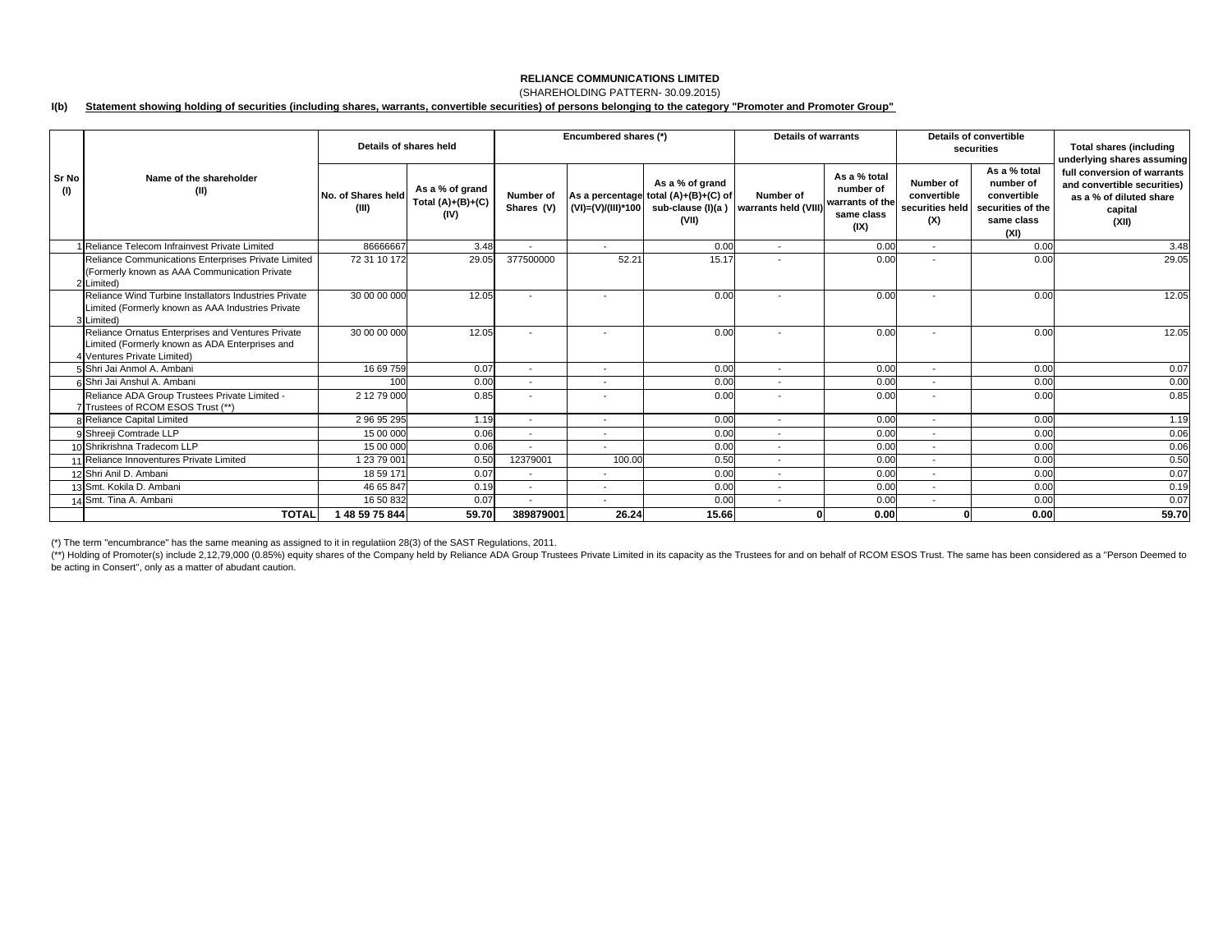# **RELIANCE COMMUNICATIONS LIMITED**(SHAREHOLDING PATTERN- 30.09.2015)

### **I(b) Statement showing holding of securities (including shares, warrants, convertible securities) of persons belonging to the category "Promoter and Promoter Group"**

|              |                                                                                                                                    | Details of shares held      |                                                | Encumbered shares (*)    |                          |                                                                                       | <b>Details of warrants</b>        |                                                                    | Details of convertible<br>securities |                                                                                                     | <b>Total shares (including</b><br>underlying shares assuming                                              |
|--------------|------------------------------------------------------------------------------------------------------------------------------------|-----------------------------|------------------------------------------------|--------------------------|--------------------------|---------------------------------------------------------------------------------------|-----------------------------------|--------------------------------------------------------------------|--------------------------------------|-----------------------------------------------------------------------------------------------------|-----------------------------------------------------------------------------------------------------------|
| Sr No<br>(1) | Name of the shareholder<br>(II)                                                                                                    | No. of Shares held<br>(III) | As a % of grand<br>Total $(A)+(B)+(C)$<br>(IV) | Number of<br>Shares (V)  | (VI)=(V)/(III)*100       | As a % of grand<br>As a percentage total (A)+(B)+(C) of<br>sub-clause (I)(a)<br>(VII) | Number of<br>warrants held (VIII) | As a % total<br>number of<br>warrants of the<br>same class<br>(IX) | Number of<br>convertible<br>(X)      | As a % total<br>number of<br>convertible<br>securities held securities of the<br>same class<br>(XI) | full conversion of warrants<br>and convertible securities)<br>as a % of diluted share<br>capital<br>(XII) |
|              | 1 Reliance Telecom Infrainvest Private Limited                                                                                     | 86666667                    | 3.48                                           | $\overline{\phantom{a}}$ | $\overline{a}$           | 0.00                                                                                  | $\overline{\phantom{a}}$          | 0.00                                                               | $\sim$                               | 0.00                                                                                                | 3.48                                                                                                      |
|              | Reliance Communications Enterprises Private Limited<br>(Formerly known as AAA Communication Private<br>2 Limited)                  | 72 31 10 172                | 29.05                                          | 377500000                | 52.21                    | 15.17                                                                                 |                                   | 0.00                                                               |                                      | 0.00                                                                                                | 29.05                                                                                                     |
|              | Reliance Wind Turbine Installators Industries Private<br>Limited (Formerly known as AAA Industries Private<br>3 Limited)           | 30 00 00 000                | 12.05                                          | $\overline{\phantom{a}}$ | $\overline{\phantom{a}}$ | 0.00                                                                                  | $\overline{\phantom{a}}$          | 0.00                                                               | $\overline{\phantom{a}}$             | 0.00                                                                                                | 12.05                                                                                                     |
|              | Reliance Ornatus Enterprises and Ventures Private<br>Limited (Formerly known as ADA Enterprises and<br>4 Ventures Private Limited) | 30 00 00 000                | 12.05                                          |                          |                          | 0.00                                                                                  |                                   | 0.00                                                               |                                      | 0.00                                                                                                | 12.05                                                                                                     |
|              | 5 Shri Jai Anmol A. Ambani                                                                                                         | 16 69 759                   | 0.07                                           | $\overline{\phantom{a}}$ | $\overline{\phantom{a}}$ | 0.00                                                                                  | $\overline{\phantom{a}}$          | 0.00                                                               | $\overline{\phantom{a}}$             | 0.00                                                                                                | 0.07                                                                                                      |
|              | 6 Shri Jai Anshul A. Ambani                                                                                                        | 100                         | 0.00                                           | $\overline{\phantom{a}}$ | $\overline{\phantom{a}}$ | 0.00                                                                                  | $\overline{\phantom{a}}$          | 0.00                                                               | $\overline{\phantom{a}}$             | 0.00                                                                                                | 0.00                                                                                                      |
|              | Reliance ADA Group Trustees Private Limited -<br>7 Trustees of RCOM ESOS Trust (**)                                                | 2 12 79 000                 | 0.85                                           |                          |                          | 0.00                                                                                  |                                   | 0.00                                                               |                                      | 0.00                                                                                                | 0.85                                                                                                      |
|              | 8 Reliance Capital Limited                                                                                                         | 29695295                    | 1.19                                           | $\overline{\phantom{a}}$ | $\overline{\phantom{a}}$ | 0.00                                                                                  | $\overline{\phantom{a}}$          | 0.00                                                               | $\overline{a}$                       | 0.00                                                                                                | 1.19                                                                                                      |
|              | 9 Shreeji Comtrade LLP                                                                                                             | 15 00 000                   | 0.06                                           |                          |                          | 0.00                                                                                  |                                   | 0.00                                                               | $\overline{\phantom{a}}$             | 0.00                                                                                                | 0.06                                                                                                      |
|              | 10 Shrikrishna Tradecom LLP                                                                                                        | 15 00 000                   | 0.06                                           | $\overline{\phantom{a}}$ | $\overline{\phantom{a}}$ | 0.00                                                                                  | $\overline{\phantom{a}}$          | 0.00                                                               | $\overline{\phantom{a}}$             | 0.00                                                                                                | 0.06                                                                                                      |
|              | 11 Reliance Innoventures Private Limited                                                                                           | 1 23 79 001                 | 0.50                                           | 12379001                 | 100.00                   | 0.50                                                                                  | $\overline{\phantom{a}}$          | 0.00                                                               | $\overline{\phantom{a}}$             | 0.00                                                                                                | 0.50                                                                                                      |
|              | 12 Shri Anil D. Ambani                                                                                                             | 18 59 171                   | 0.07                                           | $\overline{\phantom{a}}$ | $\overline{\phantom{a}}$ | 0.00                                                                                  | $\overline{\phantom{a}}$          | 0.00                                                               | $\overline{\phantom{a}}$             | 0.00                                                                                                | 0.07                                                                                                      |
|              | 13 Smt. Kokila D. Ambani                                                                                                           | 46 65 847                   | 0.19                                           | $\overline{\phantom{a}}$ | $\overline{\phantom{a}}$ | 0.00                                                                                  | $\overline{\phantom{a}}$          | 0.00                                                               | $\overline{\phantom{a}}$             | 0.00                                                                                                | 0.19                                                                                                      |
|              | 14 Smt. Tina A. Ambani                                                                                                             | 16 50 832                   | 0.07                                           | $\overline{\phantom{a}}$ | $\overline{\phantom{a}}$ | 0.00                                                                                  | $\overline{\phantom{a}}$          | 0.00                                                               | $\overline{\phantom{a}}$             | 0.00                                                                                                | 0.07                                                                                                      |
|              | <b>TOTAL</b>                                                                                                                       | 1 48 59 75 844              | 59.70                                          | 389879001                | 26.24                    | 15.66                                                                                 |                                   | 0.00                                                               |                                      | 0.00                                                                                                | 59.70                                                                                                     |

(\*) The term "encumbrance" has the same meaning as assigned to it in regulatiion 28(3) of the SAST Regulations, 2011.

(\*\*) Holding of Promoter(s) include 2,12,79,000 (0.85%) equity shares of the Company held by Reliance ADA Group Trustees Private Limited in its capacity as the Trustees for and on behalf of RCOM ESOS Trust. The same has be be acting in Consert'', only as a matter of abudant caution.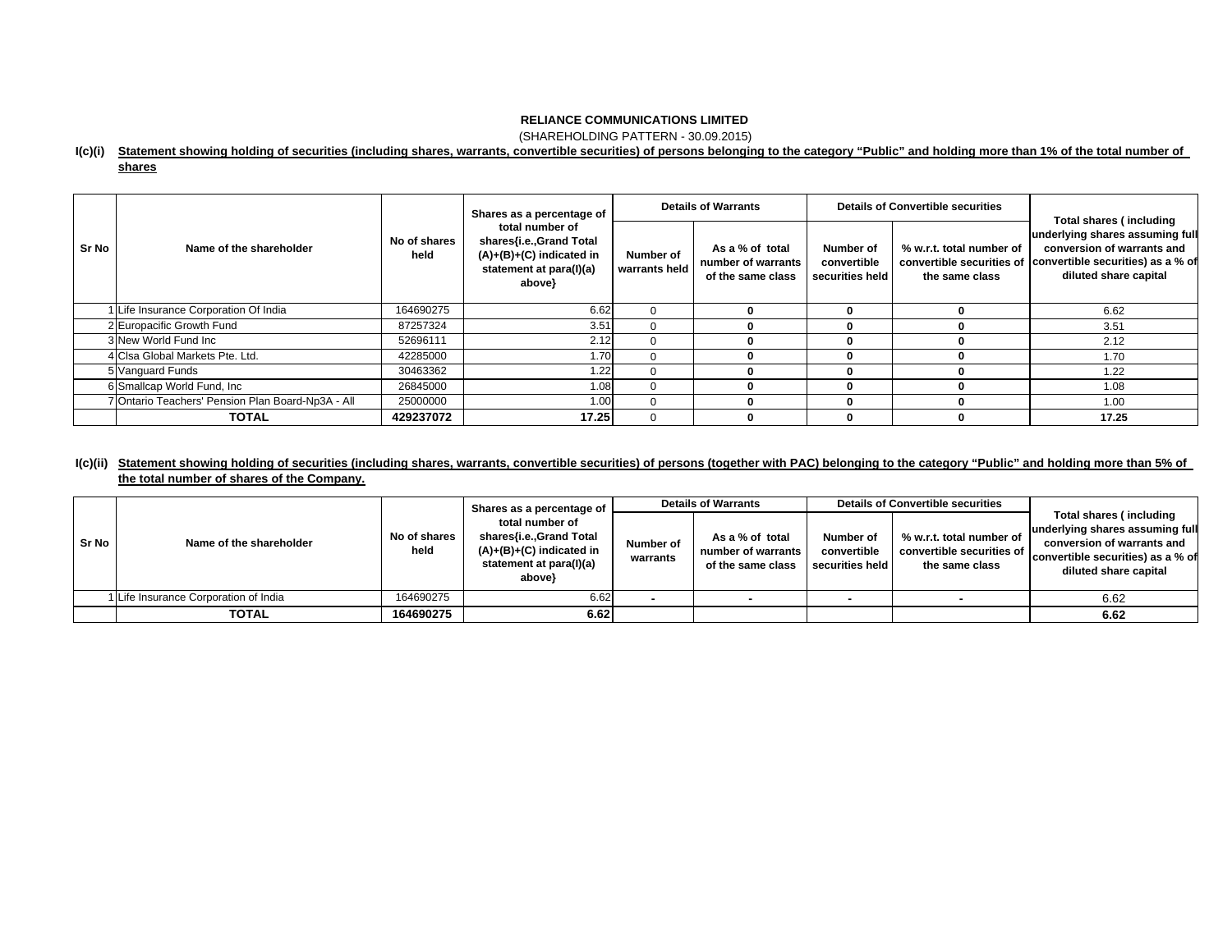(SHAREHOLDING PATTERN - 30.09.2015)

### **I(c)(i) Statement showing holding of securities (including shares, warrants, convertible securities) of persons belonging to the category "Public" and holding more than 1% of the total number of**

### **shares**

|       |                                                   |                      | Shares as a percentage of<br>total number of<br>shares{i.e., Grand Total<br>$(A)+(B)+(C)$ indicated in<br>statement at para(I)(a)<br>above} |                            | <b>Details of Warrants</b>                                 |                                             | Details of Convertible securities          | Total shares (including<br>underlying shares assuming full<br>conversion of warrants and<br>convertible securities of convertible securities) as a % of<br>diluted share capital |
|-------|---------------------------------------------------|----------------------|---------------------------------------------------------------------------------------------------------------------------------------------|----------------------------|------------------------------------------------------------|---------------------------------------------|--------------------------------------------|----------------------------------------------------------------------------------------------------------------------------------------------------------------------------------|
| Sr No | Name of the shareholder                           | No of shares<br>held |                                                                                                                                             | Number of<br>warrants held | As a % of total<br>number of warrants<br>of the same class | Number of<br>convertible<br>securities held | % w.r.t. total number of<br>the same class |                                                                                                                                                                                  |
|       | 1 Life Insurance Corporation Of India             | 164690275            | 6.62                                                                                                                                        |                            |                                                            | 0                                           |                                            | 6.62                                                                                                                                                                             |
|       | 2 Europacific Growth Fund                         | 87257324             | 3.51                                                                                                                                        | $\Omega$                   |                                                            | 0                                           |                                            | 3.51                                                                                                                                                                             |
|       | 3 New World Fund Inc.                             | 52696111             | 2.12                                                                                                                                        |                            |                                                            | 0                                           |                                            | 2.12                                                                                                                                                                             |
|       | 4 Clsa Global Markets Pte. Ltd.                   | 42285000             | 1.70                                                                                                                                        |                            |                                                            | 0                                           |                                            | 1.70                                                                                                                                                                             |
|       | 5 Vanguard Funds                                  | 30463362             | 1.22                                                                                                                                        |                            |                                                            | 0                                           |                                            | 1.22                                                                                                                                                                             |
|       | 6 Smallcap World Fund, Inc.                       | 26845000             | 1.08                                                                                                                                        |                            |                                                            | 0                                           |                                            | 1.08                                                                                                                                                                             |
|       | 7 Ontario Teachers' Pension Plan Board-Np3A - All | 25000000             | 1.00                                                                                                                                        |                            |                                                            | 0                                           |                                            | 1.00                                                                                                                                                                             |
|       | <b>TOTAL</b>                                      | 429237072            | 17.25                                                                                                                                       |                            |                                                            | 0                                           |                                            | 17.25                                                                                                                                                                            |

## l(c)(ii) Statement showing holding of securities (including shares, warrants, convertible securities) of persons (together with PAC) belonging to the category "Public" and holding more than 5% of **the total number of shares of the Company.**

|       | No of shares<br>Name of the shareholder<br>held |                                                                                                             | Shares as a percentage of |                                                              | <b>Details of Warrants</b>                  |                                                                         | <b>Details of Convertible securities</b>                                                                                                                      |      |  |
|-------|-------------------------------------------------|-------------------------------------------------------------------------------------------------------------|---------------------------|--------------------------------------------------------------|---------------------------------------------|-------------------------------------------------------------------------|---------------------------------------------------------------------------------------------------------------------------------------------------------------|------|--|
| Sr No |                                                 | total number of<br>shares{i.e.,Grand Total<br>(A)+(B)+(C) indicated in<br>statement at para(I)(a)<br>above} | Number of<br>warrants     | As a % of total<br>number of warrants I<br>of the same class | Number of<br>convertible<br>securities held | % w.r.t. total number of<br>convertible securities of<br>the same class | <b>Total shares (including</b><br>underlying shares assuming full<br>conversion of warrants and<br>convertible securities) as a % of<br>diluted share capital |      |  |
|       | Life Insurance Corporation of India             | 164690275                                                                                                   | 6.62                      |                                                              |                                             |                                                                         |                                                                                                                                                               | 6.62 |  |
|       | <b>TOTAL</b>                                    | 164690275                                                                                                   | 6.62                      |                                                              |                                             |                                                                         |                                                                                                                                                               | 6.62 |  |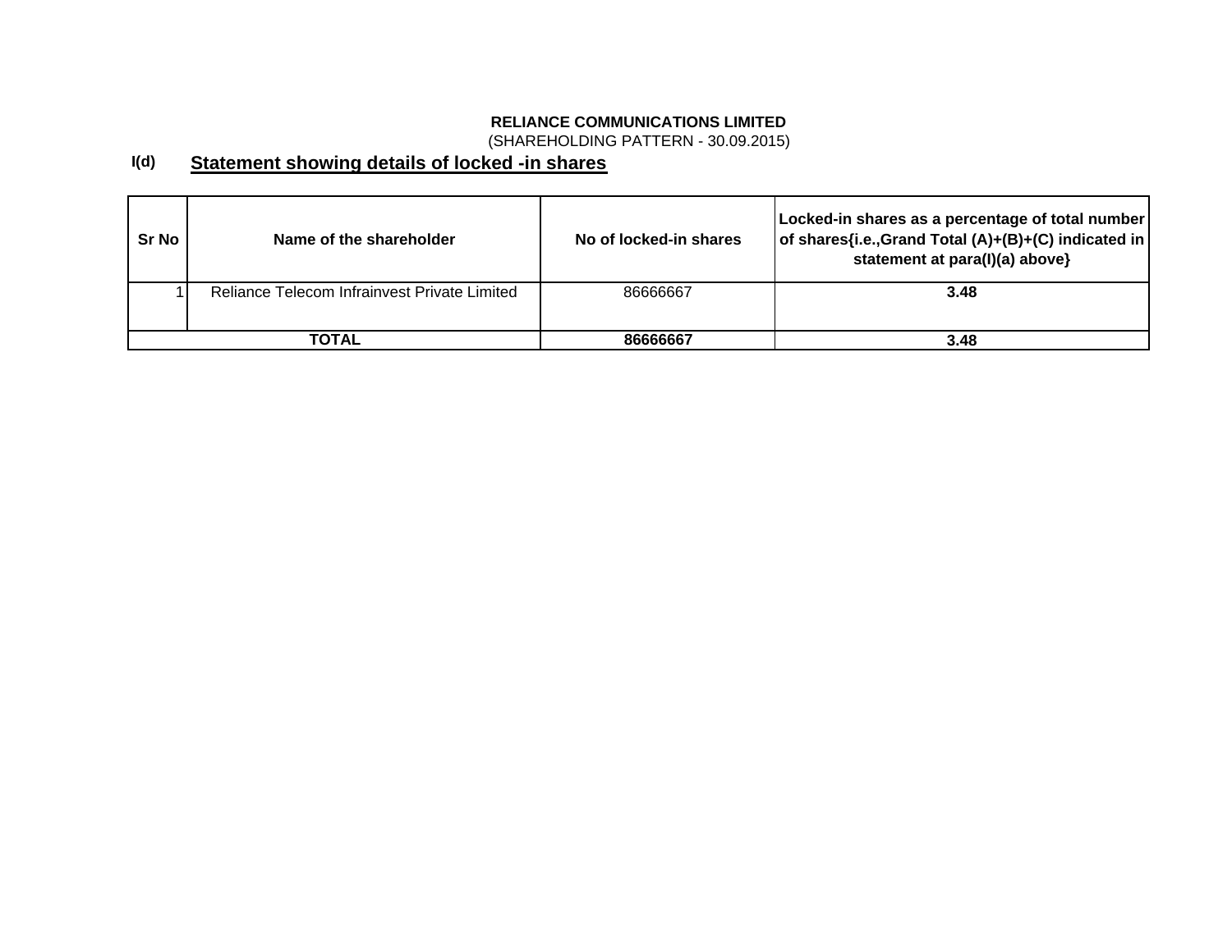(SHAREHOLDING PATTERN - 30.09.2015)

### **I(d) Statement showing details of locked -in shares**

| <b>Sr No</b> | Name of the shareholder                      | No of locked-in shares | Locked-in shares as a percentage of total number<br>of shares{i.e., Grand Total (A)+(B)+(C) indicated in<br>statement at para(I)(a) above} |
|--------------|----------------------------------------------|------------------------|--------------------------------------------------------------------------------------------------------------------------------------------|
|              | Reliance Telecom Infrainvest Private Limited | 86666667               | 3.48                                                                                                                                       |
|              | ΤΟΤΑL                                        | 86666667               | 3.48                                                                                                                                       |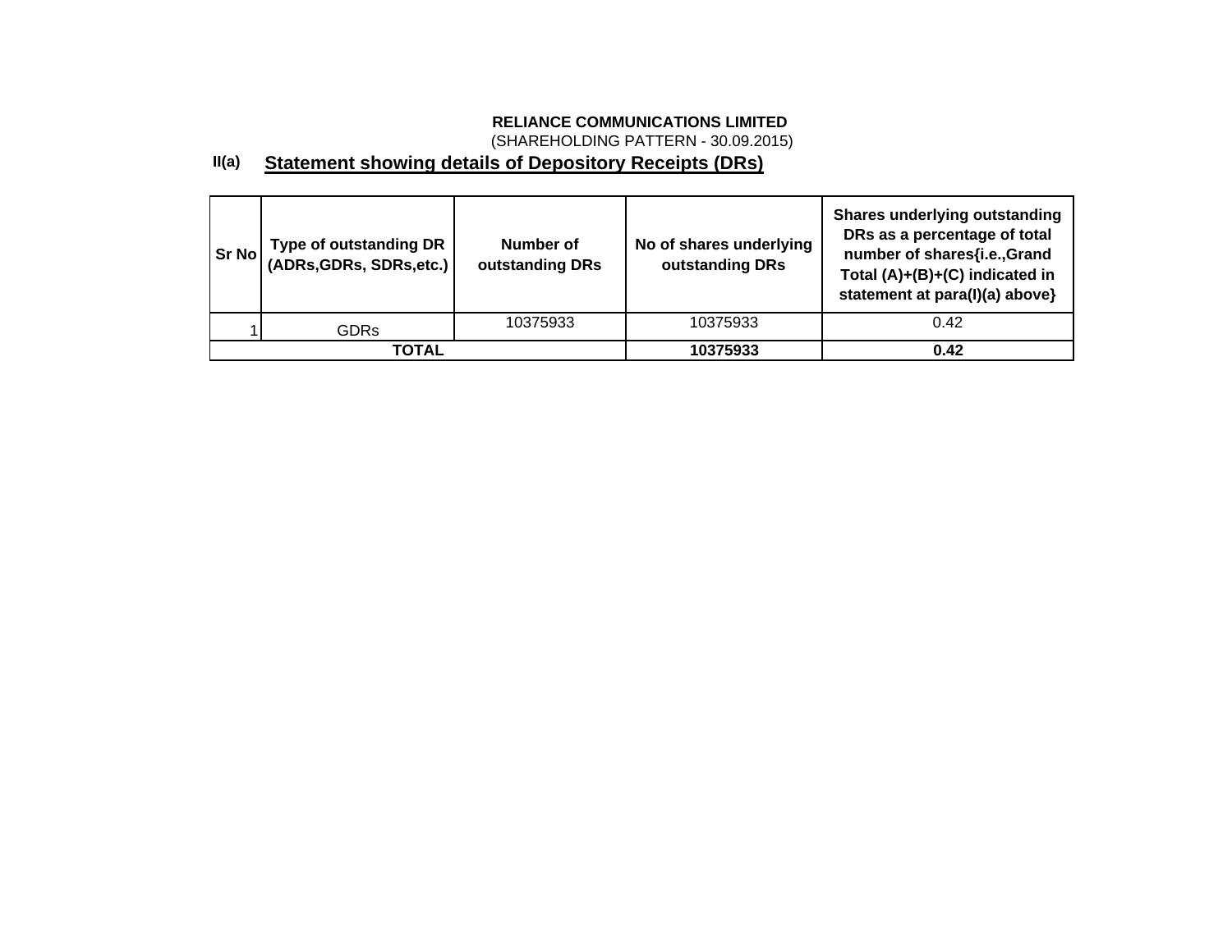(SHAREHOLDING PATTERN - 30.09.2015)

#### **II(a) Statement showing details of Depository Receipts (DRs)**

| Sr No | Type of outstanding DR<br>  (ADRs,GDRs, SDRs,etc.) | Number of<br>outstanding DRs | No of shares underlying<br>outstanding DRs | <b>Shares underlying outstanding</b><br>DRs as a percentage of total<br>number of shares{i.e.,Grand<br>Total (A)+(B)+(C) indicated in<br>statement at para(I)(a) above} |
|-------|----------------------------------------------------|------------------------------|--------------------------------------------|-------------------------------------------------------------------------------------------------------------------------------------------------------------------------|
|       | <b>GDRs</b>                                        | 10375933                     | 10375933                                   | 0.42                                                                                                                                                                    |
|       | <b>TOTAL</b>                                       |                              | 10375933                                   | 0.42                                                                                                                                                                    |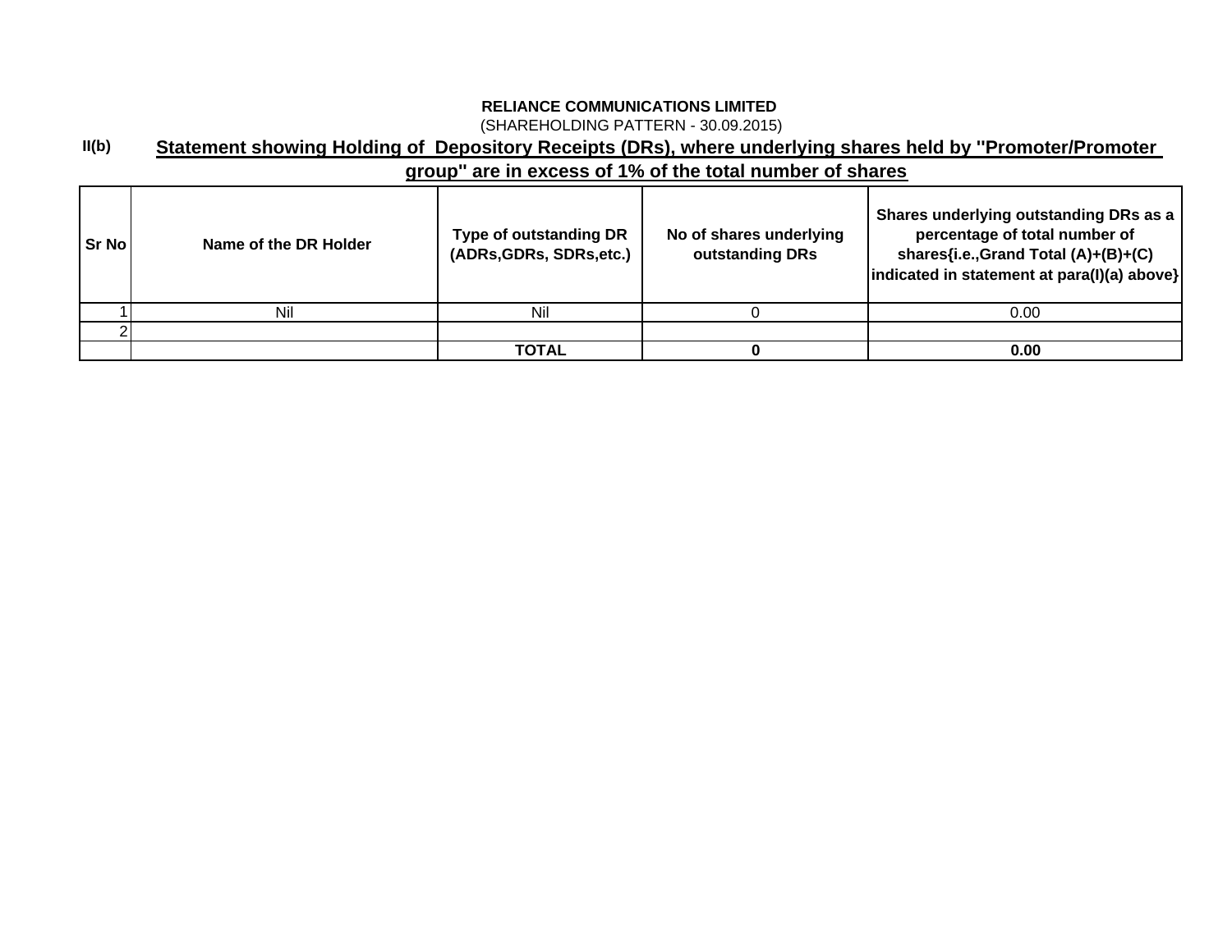(SHAREHOLDING PATTERN - 30.09.2015)

### **II(b) Statement showing Holding of Depository Receipts (DRs), where underlying shares held by ''Promoter/Promoter**

# **group'' are in excess of 1% of the total number of shares**

| l Sr Nol | Name of the DR Holder | Type of outstanding DR<br>(ADRs, GDRs, SDRs, etc.) | No of shares underlying<br>outstanding DRs | Shares underlying outstanding DRs as a<br>percentage of total number of<br>shares{i.e.,Grand Total (A)+(B)+(C)<br> indicated in statement at para(I)(a) above} |
|----------|-----------------------|----------------------------------------------------|--------------------------------------------|----------------------------------------------------------------------------------------------------------------------------------------------------------------|
|          | Nil                   |                                                    |                                            | 0.00                                                                                                                                                           |
|          |                       |                                                    |                                            |                                                                                                                                                                |
|          |                       | TOTAL                                              |                                            | 0.00                                                                                                                                                           |